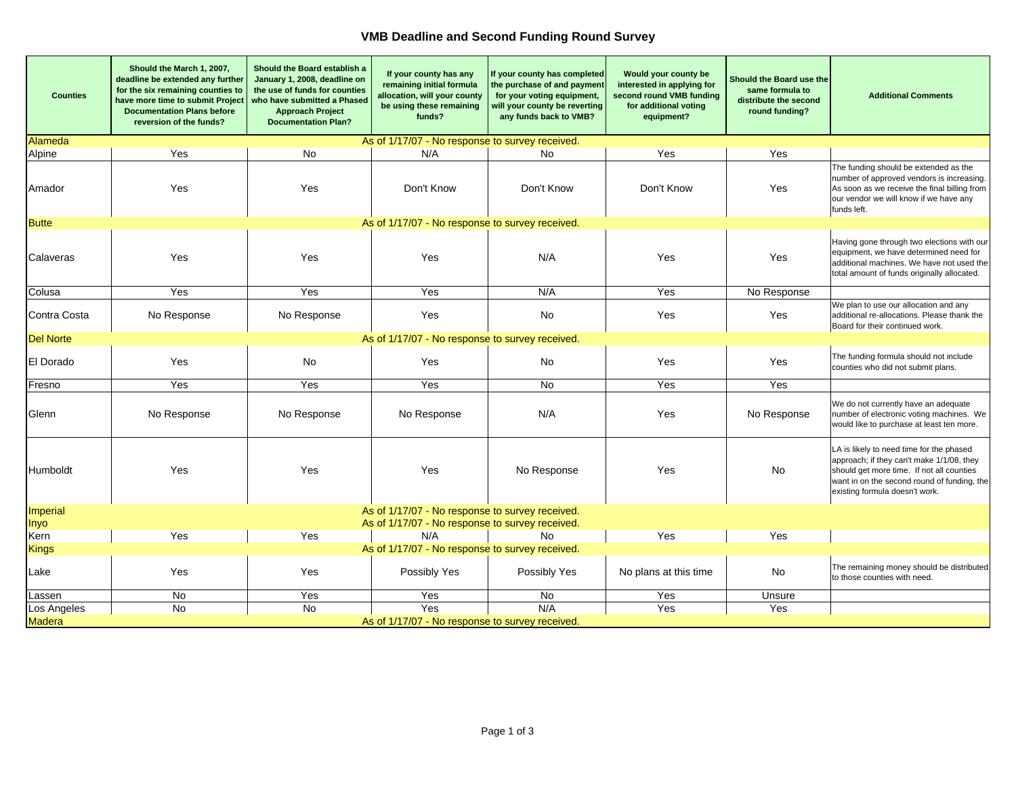## **VMB Deadline and Second Funding Round Survey**

| <b>Counties</b>                                                 | Should the March 1, 2007,<br>deadline be extended any further<br>for the six remaining counties to<br>have more time to submit Project<br><b>Documentation Plans before</b><br>reversion of the funds? | Should the Board establish a<br>January 1, 2008, deadline on<br>the use of funds for counties<br>who have submitted a Phased<br><b>Approach Project</b><br><b>Documentation Plan?</b> | If your county has any<br>remaining initial formula<br>allocation, will your county<br>be using these remaining<br>funds? | If your county has completed<br>the purchase of and payment<br>for your voting equipment,<br>will your county be reverting<br>any funds back to VMB? | Would your county be<br>interested in applying for<br>second round VMB funding<br>for additional voting<br>equipment? | Should the Board use the<br>same formula to<br>distribute the second<br>round funding? | <b>Additional Comments</b>                                                                                                                                                                                          |  |
|-----------------------------------------------------------------|--------------------------------------------------------------------------------------------------------------------------------------------------------------------------------------------------------|---------------------------------------------------------------------------------------------------------------------------------------------------------------------------------------|---------------------------------------------------------------------------------------------------------------------------|------------------------------------------------------------------------------------------------------------------------------------------------------|-----------------------------------------------------------------------------------------------------------------------|----------------------------------------------------------------------------------------|---------------------------------------------------------------------------------------------------------------------------------------------------------------------------------------------------------------------|--|
| Alameda                                                         |                                                                                                                                                                                                        |                                                                                                                                                                                       | As of 1/17/07 - No response to survey received.                                                                           |                                                                                                                                                      |                                                                                                                       |                                                                                        |                                                                                                                                                                                                                     |  |
| Alpine                                                          | Yes                                                                                                                                                                                                    | No.                                                                                                                                                                                   | N/A                                                                                                                       | No.                                                                                                                                                  | Yes                                                                                                                   | Yes                                                                                    |                                                                                                                                                                                                                     |  |
| Amador                                                          | Yes                                                                                                                                                                                                    | Yes                                                                                                                                                                                   | Don't Know                                                                                                                | Don't Know                                                                                                                                           | Don't Know                                                                                                            | Yes                                                                                    | The funding should be extended as the<br>number of approved vendors is increasing.<br>As soon as we receive the final billing from<br>our vendor we will know if we have any<br>funds left.                         |  |
| <b>Butte</b><br>As of 1/17/07 - No response to survey received. |                                                                                                                                                                                                        |                                                                                                                                                                                       |                                                                                                                           |                                                                                                                                                      |                                                                                                                       |                                                                                        |                                                                                                                                                                                                                     |  |
| Calaveras                                                       | Yes                                                                                                                                                                                                    | Yes                                                                                                                                                                                   | Yes                                                                                                                       | N/A                                                                                                                                                  | Yes                                                                                                                   | Yes                                                                                    | Having gone through two elections with our<br>equipment, we have determined need for<br>additional machines. We have not used the<br>total amount of funds originally allocated.                                    |  |
| Colusa                                                          | Yes                                                                                                                                                                                                    | Yes                                                                                                                                                                                   | Yes                                                                                                                       | N/A                                                                                                                                                  | Yes                                                                                                                   | No Response                                                                            |                                                                                                                                                                                                                     |  |
| Contra Costa                                                    | No Response                                                                                                                                                                                            | No Response                                                                                                                                                                           | Yes                                                                                                                       | No                                                                                                                                                   | Yes                                                                                                                   | Yes                                                                                    | We plan to use our allocation and any<br>additional re-allocations. Please thank the<br>Board for their continued work.                                                                                             |  |
| Del Norte                                                       |                                                                                                                                                                                                        |                                                                                                                                                                                       | As of 1/17/07 - No response to survey received.                                                                           |                                                                                                                                                      |                                                                                                                       |                                                                                        |                                                                                                                                                                                                                     |  |
| El Dorado                                                       | Yes                                                                                                                                                                                                    | <b>No</b>                                                                                                                                                                             | Yes                                                                                                                       | No                                                                                                                                                   | Yes                                                                                                                   | Yes                                                                                    | The funding formula should not include<br>counties who did not submit plans.                                                                                                                                        |  |
| Fresno                                                          | Yes                                                                                                                                                                                                    | Yes                                                                                                                                                                                   | Yes                                                                                                                       | <b>No</b>                                                                                                                                            | Yes                                                                                                                   | Yes                                                                                    |                                                                                                                                                                                                                     |  |
| Glenn                                                           | No Response                                                                                                                                                                                            | No Response                                                                                                                                                                           | No Response                                                                                                               | N/A                                                                                                                                                  | Yes                                                                                                                   | No Response                                                                            | We do not currently have an adequate<br>number of electronic voting machines. We<br>would like to purchase at least ten more.                                                                                       |  |
| Humboldt                                                        | Yes                                                                                                                                                                                                    | Yes                                                                                                                                                                                   | Yes                                                                                                                       | No Response                                                                                                                                          | Yes                                                                                                                   | No                                                                                     | LA is likely to need time for the phased<br>approach; if they can't make 1/1/08, they<br>should get more time. If not all counties<br>want in on the second round of funding, the<br>existing formula doesn't work. |  |
| Imperial                                                        |                                                                                                                                                                                                        |                                                                                                                                                                                       | As of 1/17/07 - No response to survey received.                                                                           |                                                                                                                                                      |                                                                                                                       |                                                                                        |                                                                                                                                                                                                                     |  |
| <b>Inyo</b>                                                     |                                                                                                                                                                                                        |                                                                                                                                                                                       | As of 1/17/07 - No response to survey received.                                                                           |                                                                                                                                                      |                                                                                                                       |                                                                                        |                                                                                                                                                                                                                     |  |
| Kern                                                            | Yes                                                                                                                                                                                                    | Yes                                                                                                                                                                                   | N/A                                                                                                                       | N <sub>0</sub>                                                                                                                                       | Yes                                                                                                                   | Yes                                                                                    |                                                                                                                                                                                                                     |  |
| <b>Kings</b>                                                    | As of 1/17/07 - No response to survey received.                                                                                                                                                        |                                                                                                                                                                                       |                                                                                                                           |                                                                                                                                                      |                                                                                                                       |                                                                                        |                                                                                                                                                                                                                     |  |
| Lake                                                            | Yes                                                                                                                                                                                                    | Yes                                                                                                                                                                                   | Possibly Yes                                                                                                              | Possibly Yes                                                                                                                                         | No plans at this time                                                                                                 | No                                                                                     | The remaining money should be distributed<br>to those counties with need.                                                                                                                                           |  |
| Lassen                                                          | No                                                                                                                                                                                                     | Yes                                                                                                                                                                                   | Yes                                                                                                                       | No                                                                                                                                                   | Yes                                                                                                                   | Unsure                                                                                 |                                                                                                                                                                                                                     |  |
| Los Angeles                                                     | No                                                                                                                                                                                                     | No                                                                                                                                                                                    | Yes                                                                                                                       | N/A                                                                                                                                                  | Yes                                                                                                                   | Yes                                                                                    |                                                                                                                                                                                                                     |  |
| <b>Madera</b>                                                   |                                                                                                                                                                                                        |                                                                                                                                                                                       | As of 1/17/07 - No response to survey received.                                                                           |                                                                                                                                                      |                                                                                                                       |                                                                                        |                                                                                                                                                                                                                     |  |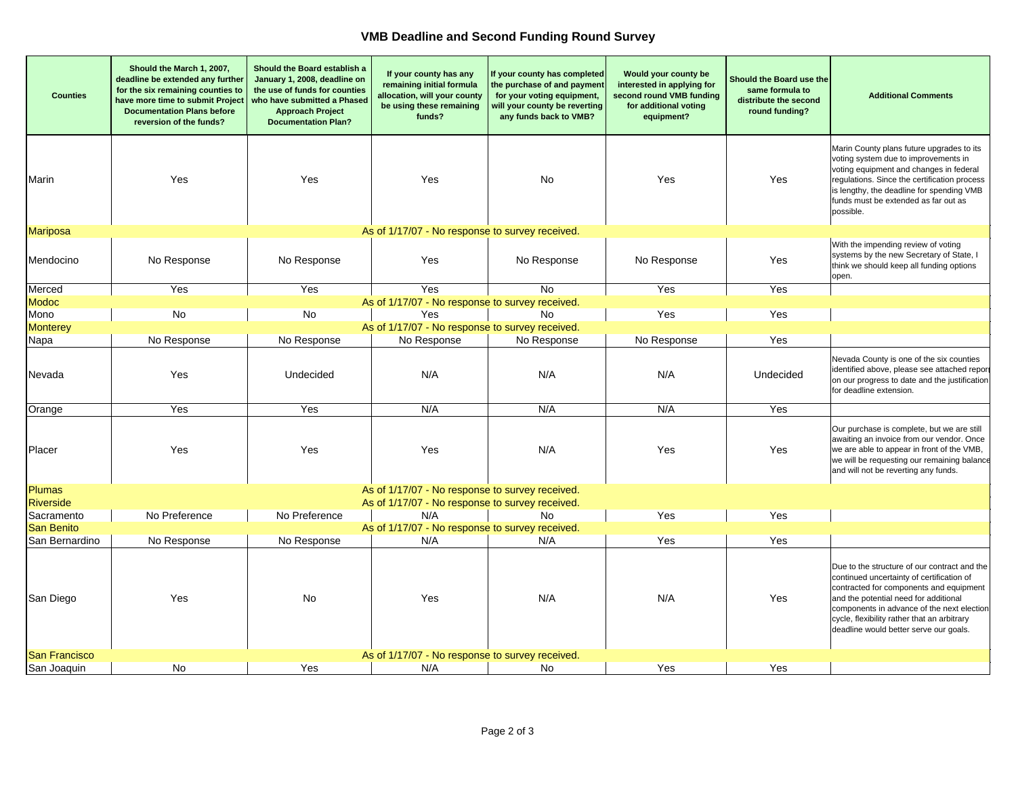## **VMB Deadline and Second Funding Round Survey**

| <b>Counties</b>                                                         | Should the March 1, 2007,<br>deadline be extended any further<br>for the six remaining counties to<br>have more time to submit Project<br><b>Documentation Plans before</b><br>reversion of the funds? | Should the Board establish a<br>January 1, 2008, deadline on<br>the use of funds for counties<br>who have submitted a Phased<br><b>Approach Project</b><br><b>Documentation Plan?</b> | If your county has any<br>remaining initial formula<br>allocation, will your county<br>be using these remaining<br>funds? | If your county has completed<br>the purchase of and payment<br>for your voting equipment,<br>will your county be reverting<br>any funds back to VMB? | Would your county be<br>interested in applying for<br>second round VMB funding<br>for additional voting<br>equipment? | Should the Board use the<br>same formula to<br>distribute the second<br>round funding? | <b>Additional Comments</b>                                                                                                                                                                                                                                                                                           |
|-------------------------------------------------------------------------|--------------------------------------------------------------------------------------------------------------------------------------------------------------------------------------------------------|---------------------------------------------------------------------------------------------------------------------------------------------------------------------------------------|---------------------------------------------------------------------------------------------------------------------------|------------------------------------------------------------------------------------------------------------------------------------------------------|-----------------------------------------------------------------------------------------------------------------------|----------------------------------------------------------------------------------------|----------------------------------------------------------------------------------------------------------------------------------------------------------------------------------------------------------------------------------------------------------------------------------------------------------------------|
| Marin                                                                   | Yes                                                                                                                                                                                                    | Yes                                                                                                                                                                                   | Yes                                                                                                                       | No                                                                                                                                                   | Yes                                                                                                                   | Yes                                                                                    | Marin County plans future upgrades to its<br>voting system due to improvements in<br>voting equipment and changes in federal<br>regulations. Since the certification process<br>is lengthy, the deadline for spending VMB<br>funds must be extended as far out as<br>possible.                                       |
| <b>Mariposa</b>                                                         |                                                                                                                                                                                                        |                                                                                                                                                                                       | As of 1/17/07 - No response to survey received.                                                                           |                                                                                                                                                      |                                                                                                                       |                                                                                        |                                                                                                                                                                                                                                                                                                                      |
| Mendocino                                                               | No Response                                                                                                                                                                                            | No Response                                                                                                                                                                           | Yes                                                                                                                       | No Response                                                                                                                                          | No Response                                                                                                           | Yes                                                                                    | With the impending review of voting<br>systems by the new Secretary of State, I<br>think we should keep all funding options<br>open.                                                                                                                                                                                 |
| Merced                                                                  | Yes                                                                                                                                                                                                    | Yes                                                                                                                                                                                   | Yes                                                                                                                       | <b>No</b>                                                                                                                                            | Yes                                                                                                                   | Yes                                                                                    |                                                                                                                                                                                                                                                                                                                      |
| <b>Modoc</b>                                                            |                                                                                                                                                                                                        |                                                                                                                                                                                       | As of 1/17/07 - No response to survey received.                                                                           |                                                                                                                                                      |                                                                                                                       |                                                                                        |                                                                                                                                                                                                                                                                                                                      |
| Mono                                                                    | No                                                                                                                                                                                                     | No                                                                                                                                                                                    | Yes                                                                                                                       | <b>No</b>                                                                                                                                            | Yes                                                                                                                   | Yes                                                                                    |                                                                                                                                                                                                                                                                                                                      |
| <b>Monterey</b>                                                         |                                                                                                                                                                                                        |                                                                                                                                                                                       | As of 1/17/07 - No response to survey received.                                                                           |                                                                                                                                                      |                                                                                                                       |                                                                                        |                                                                                                                                                                                                                                                                                                                      |
| Napa                                                                    | No Response                                                                                                                                                                                            | No Response                                                                                                                                                                           | No Response                                                                                                               | No Response                                                                                                                                          | No Response                                                                                                           | Yes                                                                                    |                                                                                                                                                                                                                                                                                                                      |
| Nevada                                                                  | Yes                                                                                                                                                                                                    | Undecided                                                                                                                                                                             | N/A                                                                                                                       | N/A                                                                                                                                                  | N/A                                                                                                                   | Undecided                                                                              | Nevada County is one of the six counties<br>identified above, please see attached report<br>on our progress to date and the justification<br>for deadline extension.                                                                                                                                                 |
| Orange                                                                  | Yes                                                                                                                                                                                                    | Yes                                                                                                                                                                                   | N/A                                                                                                                       | N/A                                                                                                                                                  | N/A                                                                                                                   | Yes                                                                                    |                                                                                                                                                                                                                                                                                                                      |
| Placer                                                                  | Yes                                                                                                                                                                                                    | Yes                                                                                                                                                                                   | Yes                                                                                                                       | N/A                                                                                                                                                  | Yes                                                                                                                   | Yes                                                                                    | Our purchase is complete, but we are still<br>awaiting an invoice from our vendor. Once<br>we are able to appear in front of the VMB,<br>we will be requesting our remaining balance<br>and will not be reverting any funds.                                                                                         |
| <b>Plumas</b>                                                           |                                                                                                                                                                                                        |                                                                                                                                                                                       | As of 1/17/07 - No response to survey received.                                                                           |                                                                                                                                                      |                                                                                                                       |                                                                                        |                                                                                                                                                                                                                                                                                                                      |
| <b>Riverside</b>                                                        |                                                                                                                                                                                                        |                                                                                                                                                                                       | As of 1/17/07 - No response to survey received.                                                                           |                                                                                                                                                      |                                                                                                                       |                                                                                        |                                                                                                                                                                                                                                                                                                                      |
| Sacramento                                                              | No Preference                                                                                                                                                                                          | No Preference                                                                                                                                                                         | N/A                                                                                                                       | No.                                                                                                                                                  | Yes                                                                                                                   | Yes                                                                                    |                                                                                                                                                                                                                                                                                                                      |
| <b>San Benito</b><br>San Bernardino                                     | No Response                                                                                                                                                                                            | No Response                                                                                                                                                                           | As of 1/17/07 - No response to survey received.<br>N/A                                                                    | N/A                                                                                                                                                  | Yes                                                                                                                   | Yes                                                                                    |                                                                                                                                                                                                                                                                                                                      |
|                                                                         |                                                                                                                                                                                                        |                                                                                                                                                                                       |                                                                                                                           |                                                                                                                                                      |                                                                                                                       |                                                                                        |                                                                                                                                                                                                                                                                                                                      |
| San Diego                                                               | Yes                                                                                                                                                                                                    | No                                                                                                                                                                                    | Yes                                                                                                                       | N/A                                                                                                                                                  | N/A                                                                                                                   | Yes                                                                                    | Due to the structure of our contract and the<br>continued uncertainty of certification of<br>contracted for components and equipment<br>and the potential need for additional<br>components in advance of the next election<br>cycle, flexibility rather that an arbitrary<br>deadline would better serve our goals. |
| <b>San Francisco</b><br>As of 1/17/07 - No response to survey received. |                                                                                                                                                                                                        |                                                                                                                                                                                       |                                                                                                                           |                                                                                                                                                      |                                                                                                                       |                                                                                        |                                                                                                                                                                                                                                                                                                                      |
| San Joaquin                                                             | No                                                                                                                                                                                                     | Yes                                                                                                                                                                                   | N/A                                                                                                                       | No                                                                                                                                                   | Yes                                                                                                                   | Yes                                                                                    |                                                                                                                                                                                                                                                                                                                      |